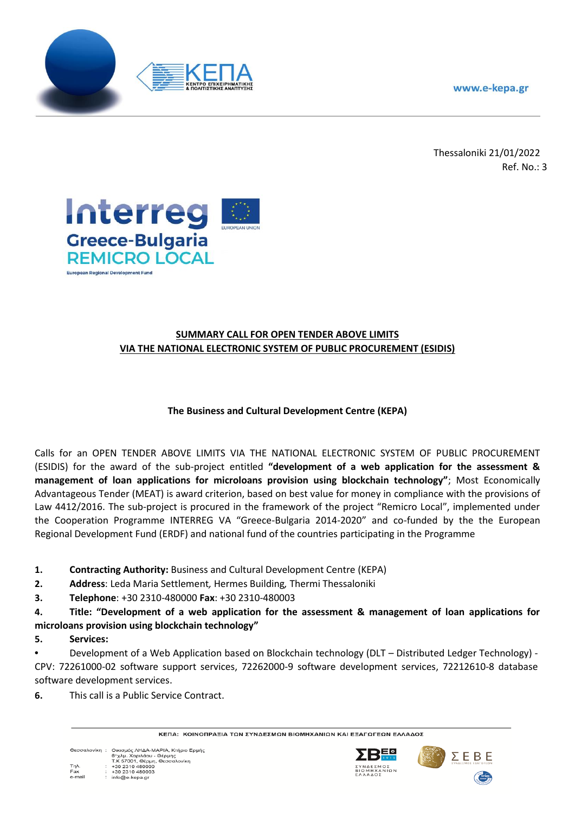www.e-kepa.gr



Thessaloniki 21/01/2022 Ref. No.: 3



# **SUMMARY CALL FOR OPEN TENDER ABOVE LIMITS VIA THE NATIONAL ELECTRONIC SYSTEM OF PUBLIC PROCUREMENT (ESIDIS)**

# **The Business and Cultural Development Centre (KEPA)**

Calls for an OPEN TENDER ABOVE LIMITS VIA THE NATIONAL ELECTRONIC SYSTEM OF PUBLIC PROCUREMENT (ESIDIS) for the award of the sub-project entitled **"development of a web application for the assessment & management of loan applications for microloans provision using blockchain technology"**; Most Economically Advantageous Tender (MEAT) is award criterion, based on best value for money in compliance with the provisions of Law 4412/2016. The sub-project is procured in the framework of the project "Remicro Local", implemented under the Cooperation Programme INTERREG VA "Greece-Bulgaria 2014-2020" and co-funded by the the European Regional Development Fund (ERDF) and national fund of the countries participating in the Programme

- **1. Contracting Authority:** Business and Cultural Development Centre (KEPA)
- **2. Address**: Leda Maria Settlement*,* Hermes Building*,* Thermi Thessaloniki
- **3. Telephone**: +30 2310-480000 **Fax**: +30 2310-480003

**4. Title: "Development of a web application for the assessment & management of loan applications for microloans provision using blockchain technology"**

## **5. Services:**

**•** Development of a Web Αpplication based on Blockchain technology (DLT – Distributed Ledger Technology) - CPV: 72261000-02 software support services, 72262000-9 software development services, 72212610-8 database software development services.

**6.** This call is a Public Service Contract.

ΚΕΠΑ: ΚΟΙΝΟΠΡΑΞΙΑ ΤΩΝ ΣΥΝΔΕΣΜΩΝ ΒΙΟΜΗΧΑΝΙΩΝ ΚΑΙ ΕΞΑΓΩΓΕΩΝ ΕΛΛΑΔΟΣ





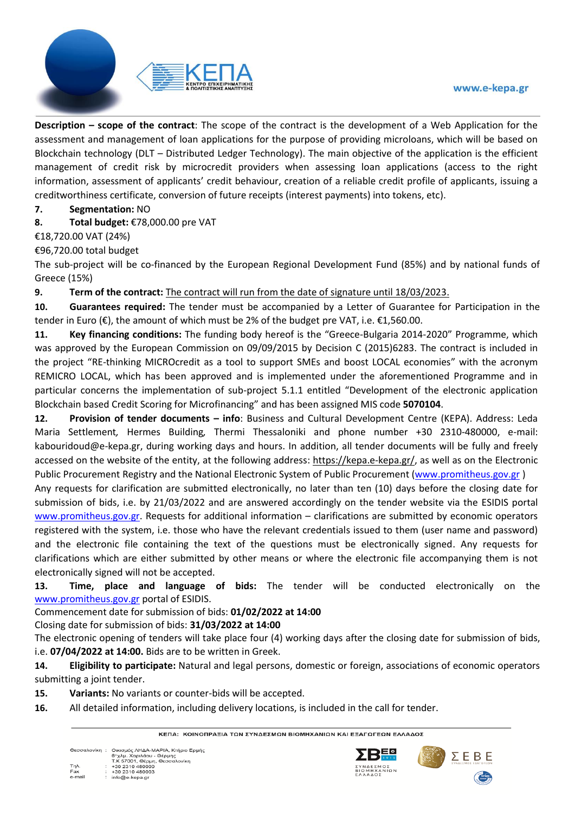#### www.e-kepa.gr



**Description – scope of the contract**: The scope of the contract is the development of a Web Application for the assessment and management of loan applications for the purpose of providing microloans, which will be based on Blockchain technology (DLT – Distributed Ledger Technology). The main objective of the application is the efficient management of credit risk by microcredit providers when assessing loan applications (access to the right information, assessment of applicants' credit behaviour, creation of a reliable credit profile of applicants, issuing a creditworthiness certificate, conversion of future receipts (interest payments) into tokens, etc).

## **7. Segmentation:** NO

**8. Total budget:** €78,000.00 pre VAT

### €18,720.00 VAT (24%)

### €96,720.00 total budget

The sub-project will be co-financed by the European Regional Development Fund (85%) and by national funds of Greece (15%)

**9. Term of the contract:** The contract will run from the date of signature until 18/03/2023.

**10. Guarantees required:** The tender must be accompanied by a Letter of Guarantee for Participation in the tender in Euro ( $\epsilon$ ), the amount of which must be 2% of the budget pre VAT, i.e.  $\epsilon$ 1,560.00.

**11. Key financing conditions:** The funding body hereof is the "Greece-Bulgaria 2014-2020" Programme, which was approved by the European Commission on 09/09/2015 by Decision C (2015)6283. The contract is included in the project "RE-thinking MICROcredit as a tool to support SMEs and boost LOCAL economies" with the acronym REMICRO LOCAL, which has been approved and is implemented under the aforementioned Programme and in particular concerns the implementation of sub-project 5.1.1 entitled "Development of the electronic application Blockchain based Credit Scoring for Microfinancing" and has been assigned MIS code **5070104**.

**12. Provision of tender documents – info**: Business and Cultural Development Centre (KEPA). Address: Leda Maria Settlement*,* Hermes Building*,* Thermi Thessaloniki and phone number +30 2310-480000, e-mail: kabouridoud@e-kepa.gr, during working days and hours. In addition, all tender documents will be fully and freely accessed on the website of the entity, at the following address: [https://kepa.e-kepa.gr/,](https://kepa.e-kepa.gr/) as well as on the Electronic Public Procurement Registry and the National Electronic System of Public Procurement (www.promitheus.gov.gr )

Any requests for clarification are submitted electronically, no later than ten (10) days before the closing date for submission of bids, i.e. by 21/03/2022 and are answered accordingly on the tender website via the ESIDIS portal www.promitheus.gov.gr. Requests for additional information – clarifications are submitted by economic operators registered with the system, i.e. those who have the relevant credentials issued to them (user name and password) and the electronic file containing the text of the questions must be electronically signed. Any requests for clarifications which are either submitted by other means or where the electronic file accompanying them is not electronically signed will not be accepted.

**13. Time, place and language of bids:** The tender will be conducted electronically on the www.promitheus.gov.gr portal of ESIDIS.

## Commencement date for submission of bids: **01/02/2022 at 14:00**

Closing date for submission of bids: **31/03/2022 at 14:00**

The electronic opening of tenders will take place four (4) working days after the closing date for submission of bids, i.e. **07/04/2022 at 14:00.** Bids are to be written in Greek.

**14. Eligibility to participate:** Natural and legal persons, domestic or foreign, associations of economic operators submitting a joint tender.

- **15. Variants:** No variants or counter-bids will be accepted.
- **16.** All detailed information, including delivery locations, is included in the call for tender.

ΚΕΠΑ: ΚΟΙΝΟΠΡΑΞΙΑ ΤΩΝ ΣΥΝΔΕΣΜΩΝ ΒΙΟΜΗΧΑΝΙΩΝ ΚΑΙ ΕΞΑΓΩΓΕΩΝ ΕΛΛΑΔΟΣ